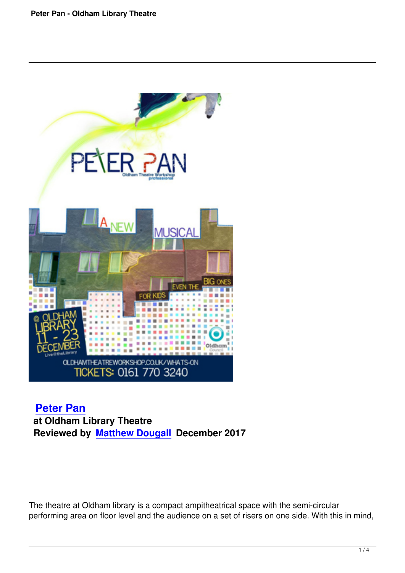

## **Peter Pan at Oldham Library Theatre [Reviewed b](peter-pan-oldham-library-theatre.html)y Matthew Dougall December 2017**

The theatre at Oldham library is a compact ampitheatrical space with the semi-circular performing area on floor level and the audience on a set of risers on one side. With this in mind,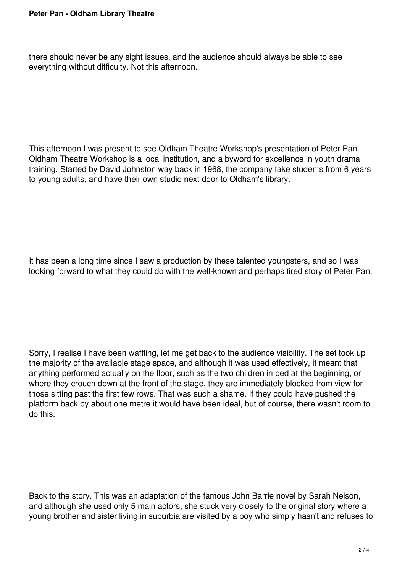there should never be any sight issues, and the audience should always be able to see everything without difficulty. Not this afternoon.

This afternoon I was present to see Oldham Theatre Workshop's presentation of Peter Pan. Oldham Theatre Workshop is a local institution, and a byword for excellence in youth drama training. Started by David Johnston way back in 1968, the company take students from 6 years to young adults, and have their own studio next door to Oldham's library.

It has been a long time since I saw a production by these talented youngsters, and so I was looking forward to what they could do with the well-known and perhaps tired story of Peter Pan.

Sorry, I realise I have been waffling, let me get back to the audience visibility. The set took up the majority of the available stage space, and although it was used effectively, it meant that anything performed actually on the floor, such as the two children in bed at the beginning, or where they crouch down at the front of the stage, they are immediately blocked from view for those sitting past the first few rows. That was such a shame. If they could have pushed the platform back by about one metre it would have been ideal, but of course, there wasn't room to do this.

Back to the story. This was an adaptation of the famous John Barrie novel by Sarah Nelson, and although she used only 5 main actors, she stuck very closely to the original story where a young brother and sister living in suburbia are visited by a boy who simply hasn't and refuses to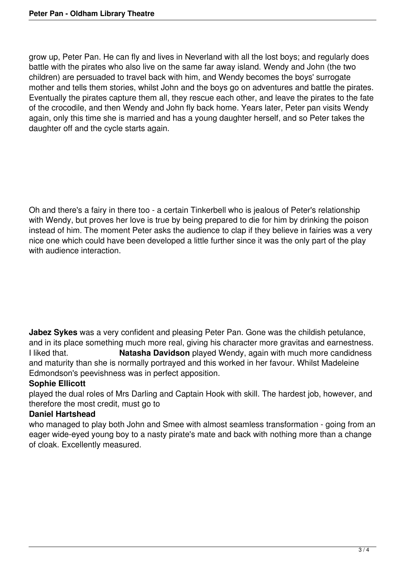grow up, Peter Pan. He can fly and lives in Neverland with all the lost boys; and regularly does battle with the pirates who also live on the same far away island. Wendy and John (the two children) are persuaded to travel back with him, and Wendy becomes the boys' surrogate mother and tells them stories, whilst John and the boys go on adventures and battle the pirates. Eventually the pirates capture them all, they rescue each other, and leave the pirates to the fate of the crocodile, and then Wendy and John fly back home. Years later, Peter pan visits Wendy again, only this time she is married and has a young daughter herself, and so Peter takes the daughter off and the cycle starts again.

Oh and there's a fairy in there too - a certain Tinkerbell who is jealous of Peter's relationship with Wendy, but proves her love is true by being prepared to die for him by drinking the poison instead of him. The moment Peter asks the audience to clap if they believe in fairies was a very nice one which could have been developed a little further since it was the only part of the play with audience interaction.

**Jabez Sykes** was a very confident and pleasing Peter Pan. Gone was the childish petulance, and in its place something much more real, giving his character more gravitas and earnestness. I liked that. **Natasha Davidson** played Wendy, again with much more candidness and maturity than she is normally portrayed and this worked in her favour. Whilst Madeleine Edmondson's peevishness was in perfect apposition.

## **Sophie Ellicott**

played the dual roles of Mrs Darling and Captain Hook with skill. The hardest job, however, and therefore the most credit, must go to

## **Daniel Hartshead**

who managed to play both John and Smee with almost seamless transformation - going from an eager wide-eyed young boy to a nasty pirate's mate and back with nothing more than a change of cloak. Excellently measured.